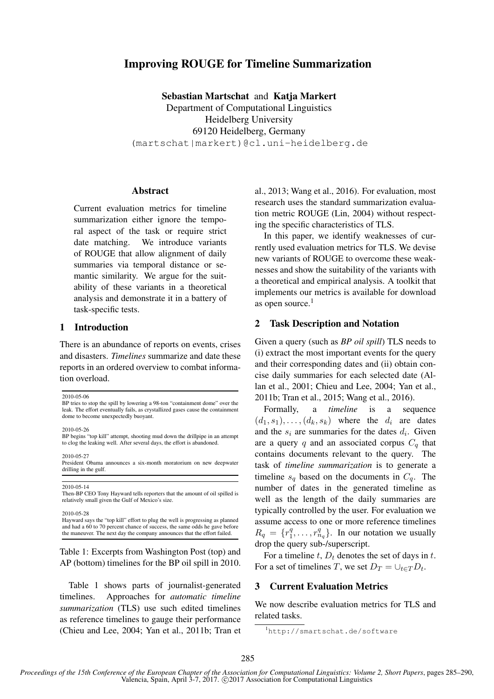# Improving ROUGE for Timeline Summarization

Sebastian Martschat and Katja Markert Department of Computational Linguistics Heidelberg University 69120 Heidelberg, Germany (martschat|markert)@cl.uni-heidelberg.de

### Abstract

Current evaluation metrics for timeline summarization either ignore the temporal aspect of the task or require strict date matching. We introduce variants of ROUGE that allow alignment of daily summaries via temporal distance or semantic similarity. We argue for the suitability of these variants in a theoretical analysis and demonstrate it in a battery of task-specific tests.

### 1 Introduction

There is an abundance of reports on events, crises and disasters. *Timelines* summarize and date these reports in an ordered overview to combat information overload.

2010-05-06

BP tries to stop the spill by lowering a 98-ton "containment dome" over the leak. The effort eventually fails, as crystallized gases cause the containment dome to become unexpectedly buoyant.

2010-05-26

2010-05-27 President Obama announces a six-month moratorium on new deepwater drilling in the gulf.

2010-05-14 Then-BP CEO Tony Hayward tells reporters that the amount of oil spilled is relatively small given the Gulf of Mexico's size.

2010-05-28

Hayward says the "top kill" effort to plug the well is progressing as planned and had a 60 to 70 percent chance of success, the same odds he gave before the maneuver. The next day the company announces that the effort failed.

Table 1: Excerpts from Washington Post (top) and AP (bottom) timelines for the BP oil spill in 2010.

Table 1 shows parts of journalist-generated timelines. Approaches for *automatic timeline summarization* (TLS) use such edited timelines as reference timelines to gauge their performance (Chieu and Lee, 2004; Yan et al., 2011b; Tran et al., 2013; Wang et al., 2016). For evaluation, most research uses the standard summarization evaluation metric ROUGE (Lin, 2004) without respecting the specific characteristics of TLS.

In this paper, we identify weaknesses of currently used evaluation metrics for TLS. We devise new variants of ROUGE to overcome these weaknesses and show the suitability of the variants with a theoretical and empirical analysis. A toolkit that implements our metrics is available for download as open source. $<sup>1</sup>$ </sup>

### 2 Task Description and Notation

Given a query (such as *BP oil spill*) TLS needs to (i) extract the most important events for the query and their corresponding dates and (ii) obtain concise daily summaries for each selected date (Allan et al., 2001; Chieu and Lee, 2004; Yan et al., 2011b; Tran et al., 2015; Wang et al., 2016).

Formally, a *timeline* is a sequence  $(d_1, s_1), \ldots, (d_k, s_k)$  where the  $d_i$  are dates and the  $s_i$  are summaries for the dates  $d_i$ . Given are a query q and an associated corpus  $C_q$  that contains documents relevant to the query. The task of *timeline summarization* is to generate a timeline  $s_q$  based on the documents in  $C_q$ . The number of dates in the generated timeline as well as the length of the daily summaries are typically controlled by the user. For evaluation we assume access to one or more reference timelines  $R_q = \{r_1^q\}$  $\{a_1^q, \ldots, r_{n_q}^q\}$ . In our notation we usually drop the query sub-/superscript.

For a timeline t,  $D_t$  denotes the set of days in t. For a set of timelines T, we set  $D_T = \bigcup_{t \in T} D_t$ .

## 3 Current Evaluation Metrics

We now describe evaluation metrics for TLS and related tasks.

BP begins "top kill" attempt, shooting mud down the drillpipe in an attempt to clog the leaking well. After several days, the effort is abandoned.

<sup>1</sup>http://smartschat.de/software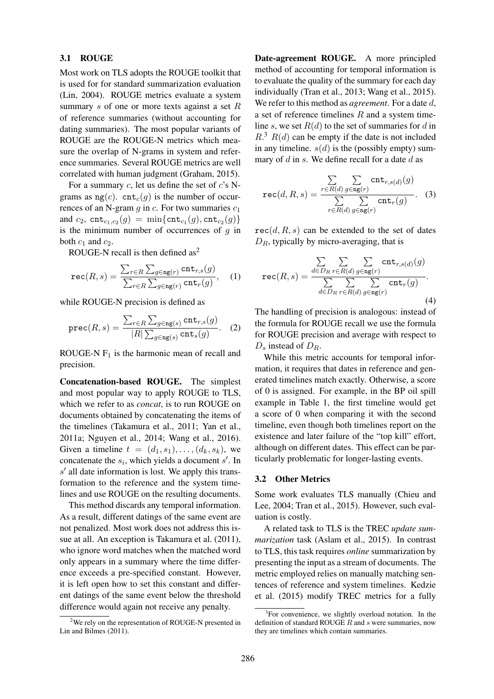#### 3.1 ROUGE

Most work on TLS adopts the ROUGE toolkit that is used for for standard summarization evaluation (Lin, 2004). ROUGE metrics evaluate a system summary s of one or more texts against a set  $R$ of reference summaries (without accounting for dating summaries). The most popular variants of ROUGE are the ROUGE-N metrics which measure the overlap of N-grams in system and reference summaries. Several ROUGE metrics are well correlated with human judgment (Graham, 2015).

For a summary  $c$ , let us define the set of  $c$ 's Ngrams as  $ng(c)$ . cnt<sub>c</sub>(g) is the number of occurrences of an N-gram  $q$  in  $c$ . For two summaries  $c_1$ and  $c_2$ ,  $\text{cnt}_{c_1,c_2}(g) = \min\{\text{cnt}_{c_1}(g), \text{cnt}_{c_2}(g)\}\$ is the minimum number of occurrences of  $g$  in both  $c_1$  and  $c_2$ .

ROUGE-N recall is then defined as<sup>2</sup>

$$
\text{rec}(R,s) = \frac{\sum_{r \in R} \sum_{g \in \text{ng}(r)} \text{cnt}_{r,s}(g)}{\sum_{r \in R} \sum_{g \in \text{ng}(r)} \text{cnt}_{r}(g)}, \quad (1)
$$

while ROUGE-N precision is defined as

$$
\text{prec}(R,s) = \frac{\sum_{r \in R} \sum_{g \in \text{ng}(s)} \text{cnt}_{r,s}(g)}{|R| \sum_{g \in \text{ng}(s)} \text{cnt}_{s}(g)}.
$$
 (2)

ROUGE-N  $F_1$  is the harmonic mean of recall and precision.

Concatenation-based ROUGE. The simplest and most popular way to apply ROUGE to TLS, which we refer to as *concat*, is to run ROUGE on documents obtained by concatenating the items of the timelines (Takamura et al., 2011; Yan et al., 2011a; Nguyen et al., 2014; Wang et al., 2016). Given a timeline  $t = (d_1, s_1), \ldots, (d_k, s_k)$ , we concatenate the  $s_i$ , which yields a document  $s'$ . In  $s'$  all date information is lost. We apply this transformation to the reference and the system timelines and use ROUGE on the resulting documents.

This method discards any temporal information. As a result, different datings of the same event are not penalized. Most work does not address this issue at all. An exception is Takamura et al. (2011), who ignore word matches when the matched word only appears in a summary where the time difference exceeds a pre-specified constant. However, it is left open how to set this constant and different datings of the same event below the threshold difference would again not receive any penalty.

Date-agreement ROUGE. A more principled method of accounting for temporal information is to evaluate the quality of the summary for each day individually (Tran et al., 2013; Wang et al., 2015). We refer to this method as *agreement*. For a date d, a set of reference timelines  $R$  and a system timeline s, we set  $R(d)$  to the set of summaries for d in  $R<sup>3</sup> R(d)$  can be empty if the date is not included in any timeline.  $s(d)$  is the (possibly empty) summary of  $d$  in  $s$ . We define recall for a date  $d$  as

$$
\text{rec}(d, R, s) = \frac{\sum\limits_{r \in R(d)} \sum\limits_{g \in \texttt{ng}(r)} \texttt{cnt}_{r,s(d)}(g)}{\sum\limits_{r \in R(d)} \sum\limits_{g \in \texttt{ng}(r)} \texttt{cnt}_{r}(g)}.
$$
 (3)

 $rec(d, R, s)$  can be extended to the set of dates  $D_R$ , typically by micro-averaging, that is

$$
\text{rec}(R,s) = \frac{\sum_{d \in D_R} \sum_{r \in R(d)} \sum_{g \in \text{ng}(r)} \text{cnt}_{r,s(d)}(g)}{\sum_{d \in D_R} \sum_{r \in R(d)} \sum_{g \in \text{ng}(r)} \text{cnt}_{r}(g)}.
$$
\n(4)

The handling of precision is analogous: instead of the formula for ROUGE recall we use the formula for ROUGE precision and average with respect to  $D_s$  instead of  $D_R$ .

While this metric accounts for temporal information, it requires that dates in reference and generated timelines match exactly. Otherwise, a score of 0 is assigned. For example, in the BP oil spill example in Table 1, the first timeline would get a score of 0 when comparing it with the second timeline, even though both timelines report on the existence and later failure of the "top kill" effort, although on different dates. This effect can be particularly problematic for longer-lasting events.

#### 3.2 Other Metrics

Some work evaluates TLS manually (Chieu and Lee, 2004; Tran et al., 2015). However, such evaluation is costly.

A related task to TLS is the TREC *update summarization* task (Aslam et al., 2015). In contrast to TLS, this task requires *online* summarization by presenting the input as a stream of documents. The metric employed relies on manually matching sentences of reference and system timelines. Kedzie et al. (2015) modify TREC metrics for a fully

 $2$ We rely on the representation of ROUGE-N presented in Lin and Bilmes (2011).

<sup>&</sup>lt;sup>3</sup>For convenience, we slightly overload notation. In the definition of standard ROUGE  $\overline{R}$  and  $\overline{s}$  were summaries, now they are timelines which contain summaries.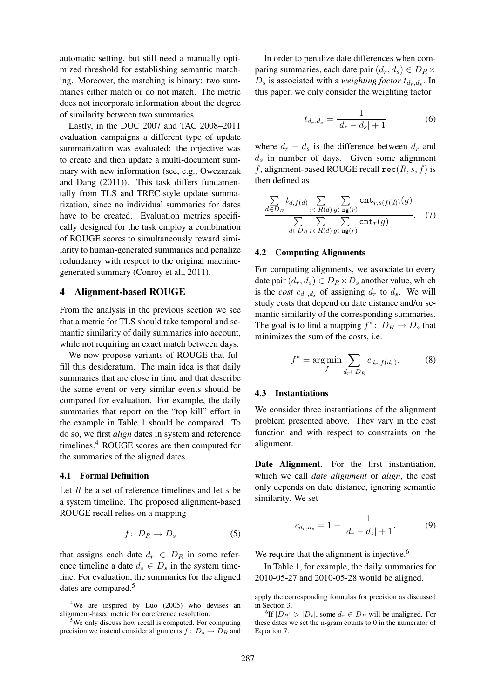automatic setting, but still need a manually optimized threshold for establishing semantic matching. Moreover, the matching is binary: two summaries either match or do not match. The metric does not incorporate information about the degree of similarity between two summaries.

Lastly, in the DUC 2007 and TAC 2008–2011 evaluation campaigns a different type of update summarization was evaluated: the objective was to create and then update a multi-document summary with new information (see, e.g., Owczarzak and Dang (2011)). This task differs fundamentally from TLS and TREC-style update summarization, since no individual summaries for dates have to be created. Evaluation metrics specifically designed for the task employ a combination of ROUGE scores to simultaneously reward similarity to human-generated summaries and penalize redundancy with respect to the original machinegenerated summary (Conroy et al., 2011).

#### 4 Alignment-based ROUGE

From the analysis in the previous section we see that a metric for TLS should take temporal and semantic similarity of daily summaries into account, while not requiring an exact match between days.

We now propose variants of ROUGE that fulfill this desideratum. The main idea is that daily summaries that are close in time and that describe the same event or very similar events should be compared for evaluation. For example, the daily summaries that report on the "top kill" effort in the example in Table 1 should be compared. To do so, we first *align* dates in system and reference timelines.<sup>4</sup> ROUGE scores are then computed for the summaries of the aligned dates.

#### 4.1 Formal Definition

Let  $R$  be a set of reference timelines and let  $s$  be a system timeline. The proposed alignment-based ROUGE recall relies on a mapping

$$
f\colon D_R \to D_s \tag{5}
$$

that assigns each date  $d_r \in D_R$  in some reference timeline a date  $d_s \in D_s$  in the system timeline. For evaluation, the summaries for the aligned dates are compared.<sup>5</sup>

In order to penalize date differences when comparing summaries, each date pair  $(d_r, d_s) \in D_R \times$  $D_s$  is associated with a *weighting factor*  $t_{d_r,d_s}$ . In this paper, we only consider the weighting factor

$$
t_{d_r,d_s} = \frac{1}{|d_r - d_s| + 1} \tag{6}
$$

where  $d_r - d_s$  is the difference between  $d_r$  and  $d_s$  in number of days. Given some alignment f, alignment-based ROUGE recall  $rec(R, s, f)$  is then defined as

$$
\frac{\sum_{d \in D_R} t_{d,f(d)} \sum_{r \in R(d)} \sum_{g \in \texttt{ng}(r)} \texttt{cnt}_{r,s(f(d))}(g)}{\sum_{d \in D_R} \sum_{r \in R(d)} \sum_{g \in \texttt{ng}(r)} \texttt{cnt}_{r}(g)}.
$$
 (7)

#### 4.2 Computing Alignments

For computing alignments, we associate to every date pair  $(d_r, d_s) \in D_R \times D_s$  another value, which is the *cost*  $c_{d_r,d_s}$  of assigning  $d_r$  to  $d_s$ . We will study costs that depend on date distance and/or semantic similarity of the corresponding summaries. The goal is to find a mapping  $f^*$ :  $D_R \to D_s$  that minimizes the sum of the costs, i.e.

$$
f^* = \underset{f}{\text{arg min}} \sum_{d_r \in D_R} c_{d_r, f(d_r)}.
$$
 (8)

#### 4.3 Instantiations

We consider three instantiations of the alignment problem presented above. They vary in the cost function and with respect to constraints on the alignment.

Date Alignment. For the first instantiation, which we call *date alignment* or *align*, the cost only depends on date distance, ignoring semantic similarity. We set

$$
c_{d_r,d_s} = 1 - \frac{1}{|d_r - d_s| + 1}.
$$
 (9)

We require that the alignment is injective.<sup>6</sup>

In Table 1, for example, the daily summaries for 2010-05-27 and 2010-05-28 would be aligned.

<sup>&</sup>lt;sup>4</sup>We are inspired by Luo (2005) who devises an alignment-based metric for coreference resolution.

 $5$ We only discuss how recall is computed. For computing precision we instead consider alignments  $f: D_s \to \overline{D}_R$  and

apply the corresponding formulas for precision as discussed in Section 3.

<sup>&</sup>lt;sup>6</sup>If  $|D_R| > |D_s|$ , some  $d_r \in D_R$  will be unaligned. For these dates we set the n-gram counts to 0 in the numerator of Equation 7.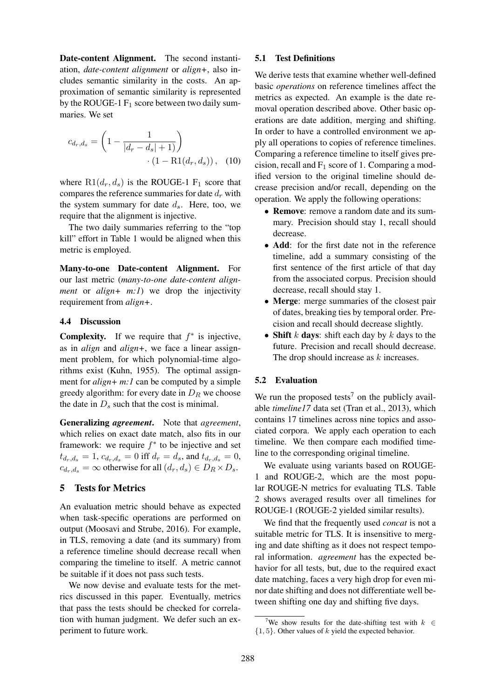Date-content Alignment. The second instantiation, *date-content alignment* or *align+*, also includes semantic similarity in the costs. An approximation of semantic similarity is represented by the ROUGE-1  $F_1$  score between two daily summaries. We set

$$
c_{d_r,d_s} = \left(1 - \frac{1}{|d_r - d_s| + 1)}\right) \cdot (1 - \text{R1}(d_r, d_s)), \quad (10)
$$

where  $R1(d_r, d_s)$  is the ROUGE-1 F<sub>1</sub> score that compares the reference summaries for date  $d_r$  with the system summary for date  $d_s$ . Here, too, we require that the alignment is injective.

The two daily summaries referring to the "top kill" effort in Table 1 would be aligned when this metric is employed.

Many-to-one Date-content Alignment. For our last metric (*many-to-one date-content alignment* or *align+ m:1*) we drop the injectivity requirement from *align+*.

#### 4.4 Discussion

**Complexity.** If we require that  $f^*$  is injective, as in *align* and *align+*, we face a linear assignment problem, for which polynomial-time algorithms exist (Kuhn, 1955). The optimal assignment for *align+ m:1* can be computed by a simple greedy algorithm: for every date in  $D_R$  we choose the date in  $D_s$  such that the cost is minimal.

Generalizing *agreement*. Note that *agreement*, which relies on exact date match, also fits in our framework: we require  $f^*$  to be injective and set  $t_{d_r,d_s} = 1, c_{d_r,d_s} = 0$  iff  $d_r = d_s$ , and  $t_{d_r,d_s} = 0$ ,  $c_{d_r,d_s} = \infty$  otherwise for all  $(d_r, d_s) \in D_R \times D_s$ .

### 5 Tests for Metrics

An evaluation metric should behave as expected when task-specific operations are performed on output (Moosavi and Strube, 2016). For example, in TLS, removing a date (and its summary) from a reference timeline should decrease recall when comparing the timeline to itself. A metric cannot be suitable if it does not pass such tests.

We now devise and evaluate tests for the metrics discussed in this paper. Eventually, metrics that pass the tests should be checked for correlation with human judgment. We defer such an experiment to future work.

#### 5.1 Test Definitions

We derive tests that examine whether well-defined basic *operations* on reference timelines affect the metrics as expected. An example is the date removal operation described above. Other basic operations are date addition, merging and shifting. In order to have a controlled environment we apply all operations to copies of reference timelines. Comparing a reference timeline to itself gives precision, recall and  $F_1$  score of 1. Comparing a modified version to the original timeline should decrease precision and/or recall, depending on the operation. We apply the following operations:

- Remove: remove a random date and its summary. Precision should stay 1, recall should decrease.
- Add: for the first date not in the reference timeline, add a summary consisting of the first sentence of the first article of that day from the associated corpus. Precision should decrease, recall should stay 1.
- Merge: merge summaries of the closest pair of dates, breaking ties by temporal order. Precision and recall should decrease slightly.
- Shift k days: shift each day by k days to the future. Precision and recall should decrease. The drop should increase as k increases.

#### 5.2 Evaluation

We run the proposed tests<sup>7</sup> on the publicly available *timeline17* data set (Tran et al., 2013), which contains 17 timelines across nine topics and associated corpora. We apply each operation to each timeline. We then compare each modified timeline to the corresponding original timeline.

We evaluate using variants based on ROUGE-1 and ROUGE-2, which are the most popular ROUGE-N metrics for evaluating TLS. Table 2 shows averaged results over all timelines for ROUGE-1 (ROUGE-2 yielded similar results).

We find that the frequently used *concat* is not a suitable metric for TLS. It is insensitive to merging and date shifting as it does not respect temporal information. *agreement* has the expected behavior for all tests, but, due to the required exact date matching, faces a very high drop for even minor date shifting and does not differentiate well between shifting one day and shifting five days.

<sup>&</sup>lt;sup>7</sup>We show results for the date-shifting test with  $k \in \mathbb{R}$  ${1, 5}$ . Other values of k yield the expected behavior.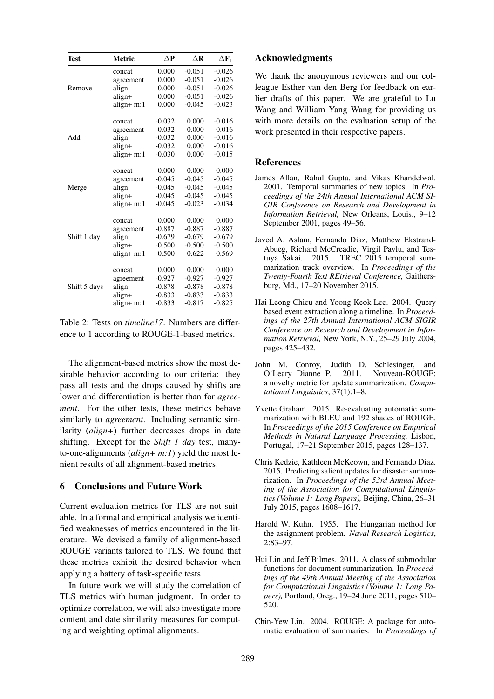| Test         | Metric      | $\Delta P$ | $\Delta$ <b>R</b> | $\Delta \mathbf{F}_1$ |
|--------------|-------------|------------|-------------------|-----------------------|
|              | concat      | 0.000      | $-0.051$          | $-0.026$              |
| Remove       | agreement   | 0.000      | $-0.051$          | $-0.026$              |
|              | align       | 0.000      | $-0.051$          | $-0.026$              |
|              | align+      | 0.000      | $-0.051$          | $-0.026$              |
|              | align+m:1   | 0.000      | $-0.045$          | $-0.023$              |
| Add          | concat      | $-0.032$   | 0.000             | $-0.016$              |
|              | agreement   | $-0.032$   | 0.000             | $-0.016$              |
|              | align       | $-0.032$   | 0.000             | $-0.016$              |
|              | align+      | $-0.032$   | 0.000             | $-0.016$              |
|              | align+m:1   | $-0.030$   | 0.000             | $-0.015$              |
| Merge        | concat      | 0.000      | 0.000             | 0.000                 |
|              | agreement   | $-0.045$   | $-0.045$          | $-0.045$              |
|              | align       | $-0.045$   | $-0.045$          | $-0.045$              |
|              | align+      | $-0.045$   | $-0.045$          | $-0.045$              |
|              | align+m:1   | $-0.045$   | $-0.023$          | $-0.034$              |
| Shift 1 day  | concat      | 0.000      | 0.000             | 0.000                 |
|              | agreement   | $-0.887$   | $-0.887$          | $-0.887$              |
|              | align       | $-0.679$   | $-0.679$          | $-0.679$              |
|              | align+      | $-0.500$   | $-0.500$          | $-0.500$              |
|              | $align+m:1$ | $-0.500$   | $-0.622$          | $-0.569$              |
| Shift 5 days | concat      | 0.000      | 0.000             | 0.000                 |
|              | agreement   | $-0.927$   | $-0.927$          | $-0.927$              |
|              | align       | $-0.878$   | $-0.878$          | $-0.878$              |
|              | align+      | $-0.833$   | $-0.833$          | $-0.833$              |
|              | align+m:1   | $-0.833$   | $-0.817$          | $-0.825$              |

Table 2: Tests on *timeline17*. Numbers are difference to 1 according to ROUGE-1-based metrics.

The alignment-based metrics show the most desirable behavior according to our criteria: they pass all tests and the drops caused by shifts are lower and differentiation is better than for *agreement*. For the other tests, these metrics behave similarly to *agreement*. Including semantic similarity (*align+*) further decreases drops in date shifting. Except for the *Shift 1 day* test, manyto-one-alignments (*align+ m:1*) yield the most lenient results of all alignment-based metrics.

### 6 Conclusions and Future Work

Current evaluation metrics for TLS are not suitable. In a formal and empirical analysis we identified weaknesses of metrics encountered in the literature. We devised a family of alignment-based ROUGE variants tailored to TLS. We found that these metrics exhibit the desired behavior when applying a battery of task-specific tests.

In future work we will study the correlation of TLS metrics with human judgment. In order to optimize correlation, we will also investigate more content and date similarity measures for computing and weighting optimal alignments.

#### Acknowledgments

We thank the anonymous reviewers and our colleague Esther van den Berg for feedback on earlier drafts of this paper. We are grateful to Lu Wang and William Yang Wang for providing us with more details on the evaluation setup of the work presented in their respective papers.

#### References

- James Allan, Rahul Gupta, and Vikas Khandelwal. 2001. Temporal summaries of new topics. In *Proceedings of the 24th Annual International ACM SI-GIR Conference on Research and Development in Information Retrieval,* New Orleans, Louis., 9–12 September 2001, pages 49–56.
- Javed A. Aslam, Fernando Diaz, Matthew Ekstrand-Abueg, Richard McCreadie, Virgil Pavlu, and Testuya Sakai. 2015. TREC 2015 temporal summarization track overview. In *Proceedings of the Twenty-Fourth Text REtrieval Conference,* Gaithersburg, Md., 17–20 November 2015.
- Hai Leong Chieu and Yoong Keok Lee. 2004. Query based event extraction along a timeline. In *Proceedings of the 27th Annual International ACM SIGIR Conference on Research and Development in Information Retrieval,* New York, N.Y., 25–29 July 2004, pages 425–432.
- John M. Conroy, Judith D. Schlesinger, and O'Leary Dianne P. 2011. Nouveau-ROUGE: a novelty metric for update summarization. *Computational Linguistics*, 37(1):1–8.
- Yvette Graham. 2015. Re-evaluating automatic summarization with BLEU and 192 shades of ROUGE. In *Proceedings of the 2015 Conference on Empirical Methods in Natural Language Processing,* Lisbon, Portugal, 17–21 September 2015, pages 128–137.
- Chris Kedzie, Kathleen McKeown, and Fernando Diaz. 2015. Predicting salient updates for disaster summarization. In *Proceedings of the 53rd Annual Meeting of the Association for Computational Linguistics (Volume 1: Long Papers),* Beijing, China, 26–31 July 2015, pages 1608–1617.
- Harold W. Kuhn. 1955. The Hungarian method for the assignment problem. *Naval Research Logistics*, 2:83–97.
- Hui Lin and Jeff Bilmes. 2011. A class of submodular functions for document summarization. In *Proceedings of the 49th Annual Meeting of the Association for Computational Linguistics (Volume 1: Long Papers),* Portland, Oreg., 19–24 June 2011, pages 510– 520.
- Chin-Yew Lin. 2004. ROUGE: A package for automatic evaluation of summaries. In *Proceedings of*